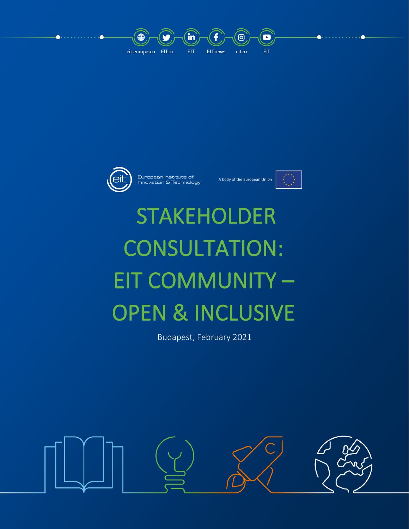



European Institute of<br>Innovation & Technology

A body of the European Union



# STAKEHOLDER CONSULTATION: EIT COMMUNITY – OPEN & INCLUSIVE

Budapest, February 2021

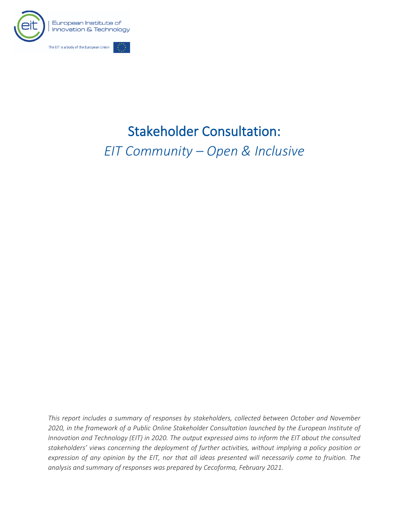

# Stakeholder Consultation: *EIT Community – Open & Inclusive*

*This report includes a summary of responses by stakeholders, collected between October and November 2020, in the framework of a Public Online Stakeholder Consultation launched by the European Institute of Innovation and Technology (EIT) in 2020. The output expressed aims to inform the EIT about the consulted stakeholders' views concerning the deployment of further activities, without implying a policy position or expression of any opinion by the EIT, nor that all ideas presented will necessarily come to fruition. The analysis and summary of responses was prepared by Cecoforma, February 2021.*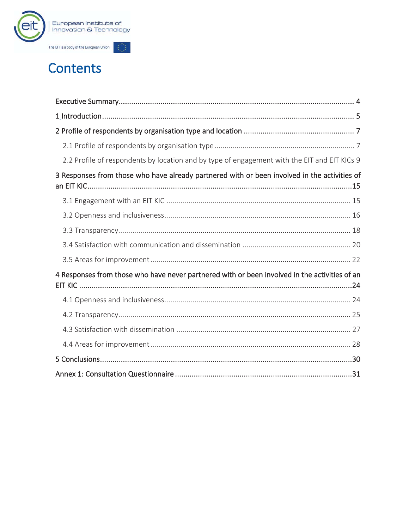

# **Contents**

| 2.2 Profile of respondents by location and by type of engagement with the EIT and EIT KICs 9  |
|-----------------------------------------------------------------------------------------------|
| 3 Responses from those who have already partnered with or been involved in the activities of  |
|                                                                                               |
|                                                                                               |
|                                                                                               |
|                                                                                               |
|                                                                                               |
| 4 Responses from those who have never partnered with or been involved in the activities of an |
|                                                                                               |
|                                                                                               |
|                                                                                               |
|                                                                                               |
|                                                                                               |
|                                                                                               |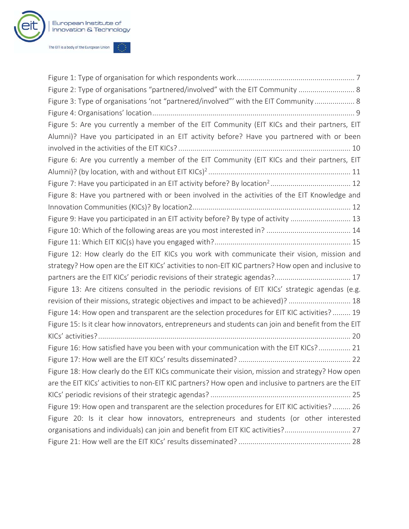

| Figure 2: Type of organisations "partnered/involved" with the EIT Community  8                       |
|------------------------------------------------------------------------------------------------------|
| Figure 3: Type of organisations 'not "partnered/involved"' with the EIT Community 8                  |
|                                                                                                      |
| Figure 5: Are you currently a member of the EIT Community (EIT KICs and their partners, EIT          |
| Alumni)? Have you participated in an EIT activity before? Have you partnered with or been            |
|                                                                                                      |
| Figure 6: Are you currently a member of the EIT Community (EIT KICs and their partners, EIT          |
|                                                                                                      |
|                                                                                                      |
| Figure 8: Have you partnered with or been involved in the activities of the EIT Knowledge and        |
|                                                                                                      |
| Figure 9: Have you participated in an EIT activity before? By type of activity  13                   |
|                                                                                                      |
|                                                                                                      |
| Figure 12: How clearly do the EIT KICs you work with communicate their vision, mission and           |
| strategy? How open are the EIT KICs' activities to non-EIT KIC partners? How open and inclusive to   |
|                                                                                                      |
| Figure 13: Are citizens consulted in the periodic revisions of EIT KICs' strategic agendas (e.g.     |
| revision of their missions, strategic objectives and impact to be achieved)?  18                     |
| Figure 14: How open and transparent are the selection procedures for EIT KIC activities? 19          |
| Figure 15: Is it clear how innovators, entrepreneurs and students can join and benefit from the EIT  |
|                                                                                                      |
| Figure 16: How satisfied have you been with your communication with the EIT KICs? 21                 |
|                                                                                                      |
| Figure 18: How clearly do the EIT KICs communicate their vision, mission and strategy? How open      |
| are the EIT KICs' activities to non-EIT KIC partners? How open and inclusive to partners are the EIT |
|                                                                                                      |
| Figure 19: How open and transparent are the selection procedures for EIT KIC activities? 26          |
| Figure 20: Is it clear how innovators, entrepreneurs and students (or other interested               |
| organisations and individuals) can join and benefit from EIT KIC activities? 27                      |
|                                                                                                      |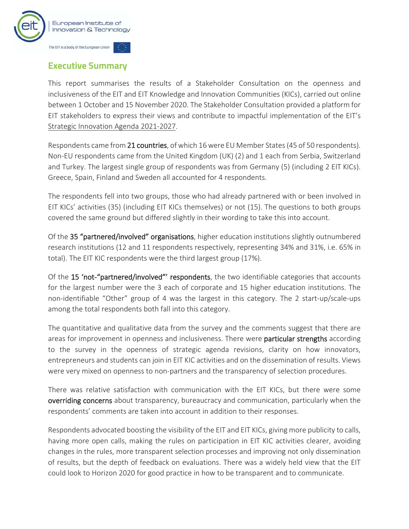

## **Executive Summary**

This report summarises the results of a Stakeholder Consultation on the openness and inclusiveness of the EIT and EIT Knowledge and Innovation Communities (KICs), carried out online between 1 October and 15 November 2020. The Stakeholder Consultation provided a platform for EIT stakeholders to express their views and contribute to impactful implementation of the EIT's Strategic Innovation Agenda 2021-2027.

Respondents came from 21 countries, of which 16 were EU Member States (45 of 50 respondents). Non-EU respondents came from the United Kingdom (UK) (2) and 1 each from Serbia, Switzerland and Turkey. The largest single group of respondents was from Germany (5) (including 2 EIT KICs). Greece, Spain, Finland and Sweden all accounted for 4 respondents.

The respondents fell into two groups, those who had already partnered with or been involved in EIT KICs' activities (35) (including EIT KICs themselves) or not (15). The questions to both groups covered the same ground but differed slightly in their wording to take this into account.

Of the 35 "partnered/involved" organisations, higher education institutions slightly outnumbered research institutions (12 and 11 respondents respectively, representing 34% and 31%, i.e. 65% in total). The EIT KIC respondents were the third largest group (17%).

Of the 15 'not-"partnered/involved"' respondents, the two identifiable categories that accounts for the largest number were the 3 each of corporate and 15 higher education institutions. The non-identifiable "Other" group of 4 was the largest in this category. The 2 start-up/scale-ups among the total respondents both fall into this category.

The quantitative and qualitative data from the survey and the comments suggest that there are areas for improvement in openness and inclusiveness. There were **particular strengths** according to the survey in the openness of strategic agenda revisions, clarity on how innovators, entrepreneurs and students can join in EIT KIC activities and on the dissemination of results. Views were very mixed on openness to non-partners and the transparency of selection procedures.

There was relative satisfaction with communication with the EIT KICs, but there were some overriding concerns about transparency, bureaucracy and communication, particularly when the respondents' comments are taken into account in addition to their responses.

Respondents advocated boosting the visibility of the EIT and EIT KICs, giving more publicity to calls, having more open calls, making the rules on participation in EIT KIC activities clearer, avoiding changes in the rules, more transparent selection processes and improving not only dissemination of results, but the depth of feedback on evaluations. There was a widely held view that the EIT could look to Horizon 2020 for good practice in how to be transparent and to communicate.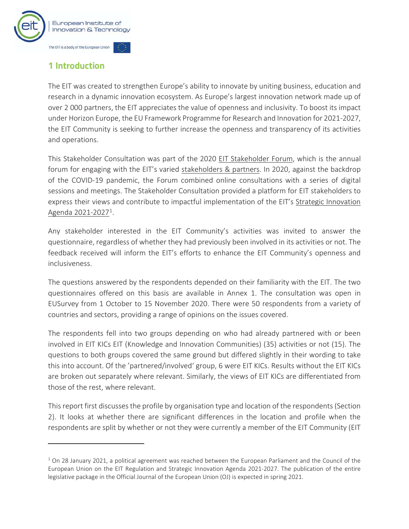

# **1 Introduction**

The EIT was created to strengthen Europe's ability to innovate by uniting business, education and research in a dynamic innovation ecosystem. As Europe's largest innovation network made up of over 2 000 partners, the EIT appreciates the value of openness and inclusivity. To boost its impact under Horizon Europe, the EU Framework Programme for Research and Innovation for 2021-2027, the EIT Community is seeking to further increase the openness and transparency of its activities and operations.

This Stakeholder Consultation was part of the 2020 EIT Stakeholder Forum, which is the annual forum for engaging with the EIT's varied stakeholders & partners. In 2020, against the backdrop of the COVID-19 pandemic, the Forum combined online consultations with a series of digital sessions and meetings. The Stakeholder Consultation provided a platform for EIT stakeholders to express their views and contribute to impactful implementation of the EIT's Strategic Innovation Agenda 2021-20271.

Any stakeholder interested in the EIT Community's activities was invited to answer the questionnaire, regardless of whether they had previously been involved in its activities or not. The feedback received will inform the EIT's efforts to enhance the EIT Community's openness and inclusiveness.

The questions answered by the respondents depended on their familiarity with the EIT. The two questionnaires offered on this basis are available in Annex 1. The consultation was open in EUSurvey from 1 October to 15 November 2020. There were 50 respondents from a variety of countries and sectors, providing a range of opinions on the issues covered.

The respondents fell into two groups depending on who had already partnered with or been involved in EIT KICs EIT (Knowledge and Innovation Communities) (35) activities or not (15). The questions to both groups covered the same ground but differed slightly in their wording to take this into account. Of the 'partnered/involved' group, 6 were EIT KICs. Results without the EIT KICs are broken out separately where relevant. Similarly, the views of EIT KICs are differentiated from those of the rest, where relevant.

This report first discusses the profile by organisation type and location of the respondents (Section 2). It looks at whether there are significant differences in the location and profile when the respondents are split by whether or not they were currently a member of the EIT Community (EIT

 $1$  On 28 January 2021, a political agreement was reached between the European Parliament and the Council of the European Union on the EIT Regulation and Strategic Innovation Agenda 2021-2027. The publication of the entire legislative package in the Official Journal of the European Union (OJ) is expected in spring 2021.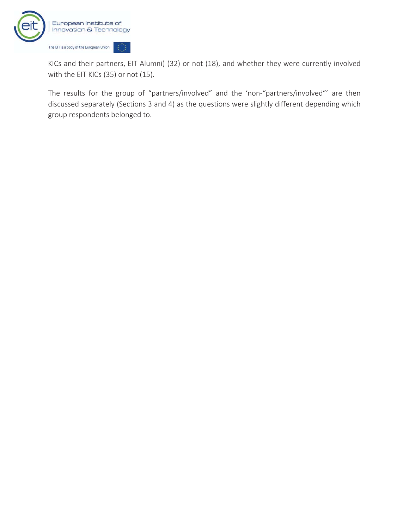

KICs and their partners, EIT Alumni) (32) or not (18), and whether they were currently involved with the EIT KICs (35) or not (15).

The results for the group of "partners/involved" and the 'non-"partners/involved"' are then discussed separately (Sections 3 and 4) as the questions were slightly different depending which group respondents belonged to.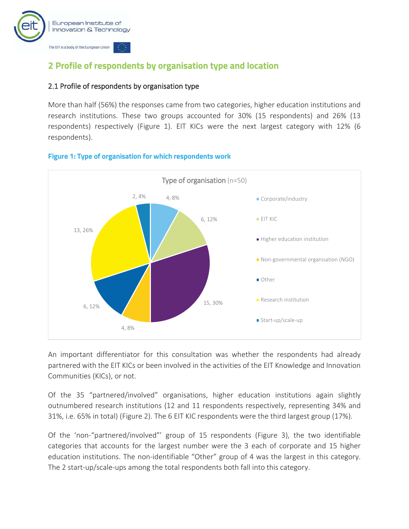

# **2 Profile of respondents by organisation type and location**

#### 2.1 Profile of respondents by organisation type

More than half (56%) the responses came from two categories, higher education institutions and research institutions. These two groups accounted for 30% (15 respondents) and 26% (13 respondents) respectively (Figure 1). EIT KICs were the next largest category with 12% (6 respondents).



#### **Figure 1: Type of organisation for which respondents work**

An important differentiator for this consultation was whether the respondents had already partnered with the EIT KICs or been involved in the activities of the EIT Knowledge and Innovation Communities (KICs), or not.

Of the 35 "partnered/involved" organisations, higher education institutions again slightly outnumbered research institutions (12 and 11 respondents respectively, representing 34% and 31%, i.e. 65% in total) (Figure 2). The 6 EIT KIC respondents were the third largest group (17%).

Of the 'non-"partnered/involved"' group of 15 respondents (Figure 3), the two identifiable categories that accounts for the largest number were the 3 each of corporate and 15 higher education institutions. The non-identifiable "Other" group of 4 was the largest in this category. The 2 start-up/scale-ups among the total respondents both fall into this category.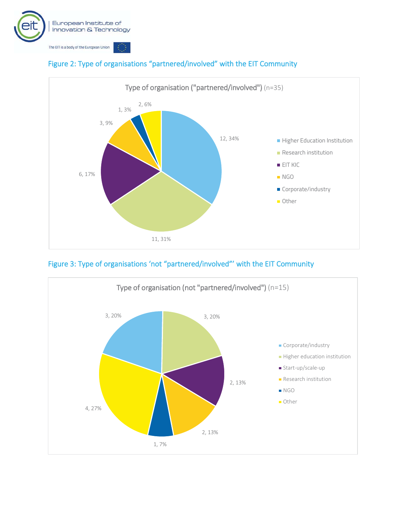



#### Figure 2: Type of organisations "partnered/involved" with the EIT Community



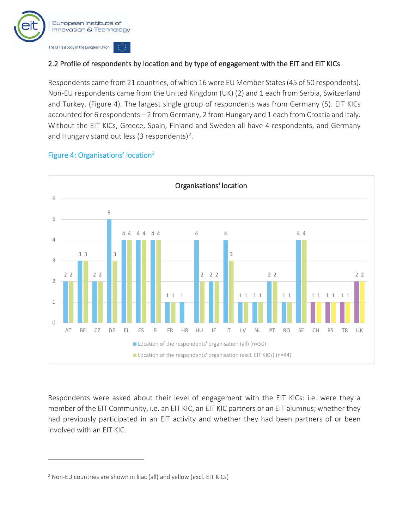

#### 2.2 Profile of respondents by location and by type of engagement with the EIT and EIT KICs

Respondents came from 21 countries, of which 16 were EU Member States (45 of 50 respondents). Non-EU respondents came from the United Kingdom (UK) (2) and 1 each from Serbia, Switzerland and Turkey. (Figure 4). The largest single group of respondents was from Germany (5). EIT KICs accounted for 6 respondents – 2 from Germany, 2 from Hungary and 1 each from Croatia and Italy. Without the EIT KICs, Greece, Spain, Finland and Sweden all have 4 respondents, and Germany and Hungary stand out less (3 respondents)<sup>2</sup>.

#### Figure 4: Organisations' location2



Respondents were asked about their level of engagement with the EIT KICs: i.e. were they a member of the EIT Community, i.e. an EIT KIC, an EIT KIC partners or an EIT alumnus; whether they had previously participated in an EIT activity and whether they had been partners of or been involved with an EIT KIC.

<sup>&</sup>lt;sup>2</sup> Non-EU countries are shown in lilac (all) and yellow (excl. EIT KICs)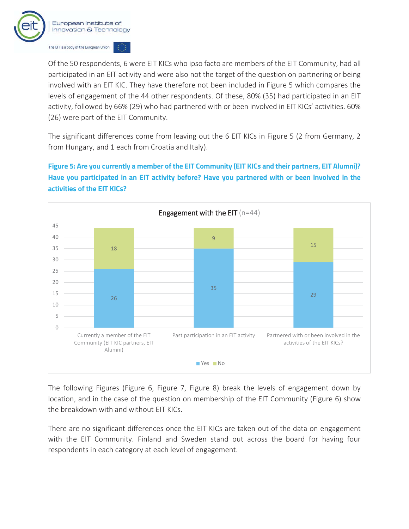![](_page_11_Picture_0.jpeg)

Of the 50 respondents, 6 were EIT KICs who ipso facto are members of the EIT Community, had all participated in an EIT activity and were also not the target of the question on partnering or being involved with an EIT KIC. They have therefore not been included in Figure 5 which compares the levels of engagement of the 44 other respondents. Of these, 80% (35) had participated in an EIT activity, followed by 66% (29) who had partnered with or been involved in EIT KICs' activities. 60% (26) were part of the EIT Community.

The significant differences come from leaving out the 6 EIT KICs in Figure 5 (2 from Germany, 2 from Hungary, and 1 each from Croatia and Italy).

**Figure 5: Are you currently a member of the EIT Community (EIT KICs and their partners, EIT Alumni)? Have you participated in an EIT activity before? Have you partnered with or been involved in the activities of the EIT KICs?** 

![](_page_11_Figure_4.jpeg)

The following Figures (Figure 6, Figure 7, Figure 8) break the levels of engagement down by location, and in the case of the question on membership of the EIT Community (Figure 6) show the breakdown with and without EIT KICs.

There are no significant differences once the EIT KICs are taken out of the data on engagement with the EIT Community. Finland and Sweden stand out across the board for having four respondents in each category at each level of engagement.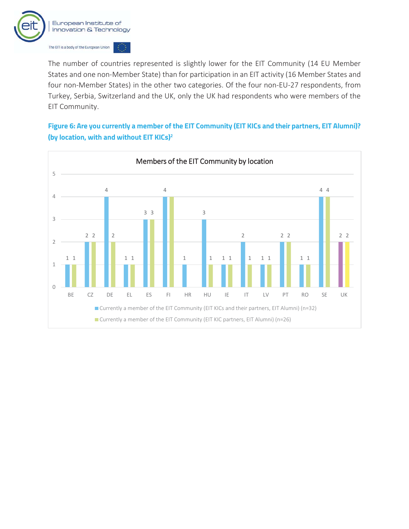![](_page_12_Picture_0.jpeg)

The number of countries represented is slightly lower for the EIT Community (14 EU Member States and one non-Member State) than for participation in an EIT activity (16 Member States and four non-Member States) in the other two categories. Of the four non-EU-27 respondents, from Turkey, Serbia, Switzerland and the UK, only the UK had respondents who were members of the EIT Community.

**Figure 6: Are you currently a member of the EIT Community (EIT KICs and their partners, EIT Alumni)? (by location, with and without EIT KICs)2**

![](_page_12_Figure_3.jpeg)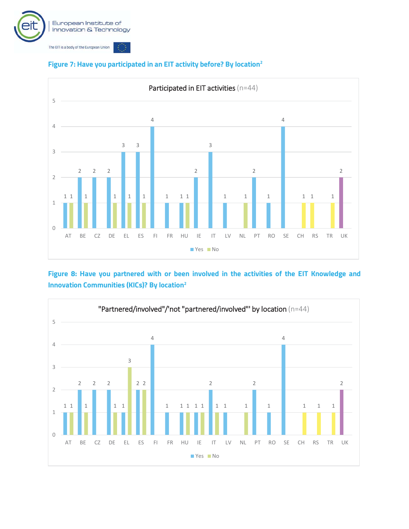![](_page_13_Picture_0.jpeg)

![](_page_13_Figure_1.jpeg)

#### **Figure 7: Have you participated in an EIT activity before? By location2**

**Figure 8: Have you partnered with or been involved in the activities of the EIT Knowledge and Innovation Communities (KICs)? By location2**

![](_page_13_Figure_4.jpeg)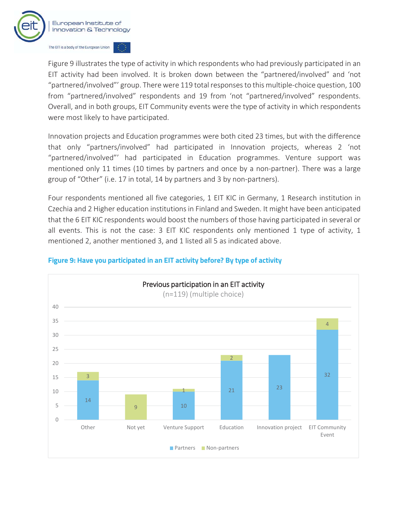![](_page_14_Picture_0.jpeg)

Figure 9 illustrates the type of activity in which respondents who had previously participated in an EIT activity had been involved. It is broken down between the "partnered/involved" and 'not "partnered/involved"' group. There were 119 total responses to this multiple-choice question, 100 from "partnered/involved" respondents and 19 from 'not "partnered/involved" respondents. Overall, and in both groups, EIT Community events were the type of activity in which respondents were most likely to have participated.

Innovation projects and Education programmes were both cited 23 times, but with the difference that only "partners/involved" had participated in Innovation projects, whereas 2 'not "partnered/involved"' had participated in Education programmes. Venture support was mentioned only 11 times (10 times by partners and once by a non-partner). There was a large group of "Other" (i.e. 17 in total, 14 by partners and 3 by non-partners).

Four respondents mentioned all five categories, 1 EIT KIC in Germany, 1 Research institution in Czechia and 2 Higher education institutions in Finland and Sweden. It might have been anticipated that the 6 EIT KIC respondents would boost the numbers of those having participated in several or all events. This is not the case: 3 EIT KIC respondents only mentioned 1 type of activity, 1 mentioned 2, another mentioned 3, and 1 listed all 5 as indicated above.

![](_page_14_Figure_4.jpeg)

#### **Figure 9: Have you participated in an EIT activity before? By type of activity**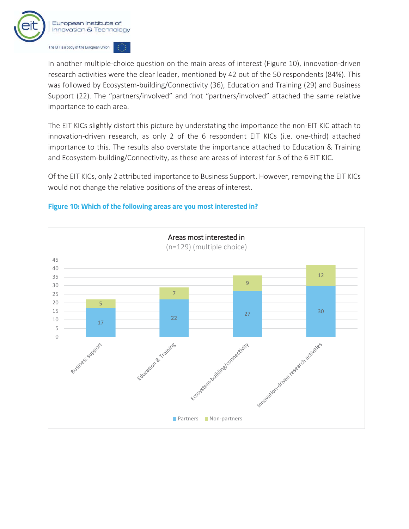![](_page_15_Picture_0.jpeg)

In another multiple-choice question on the main areas of interest (Figure 10), innovation-driven research activities were the clear leader, mentioned by 42 out of the 50 respondents (84%). This was followed by Ecosystem-building/Connectivity (36), Education and Training (29) and Business Support (22). The "partners/involved" and 'not "partners/involved" attached the same relative importance to each area.

The EIT KICs slightly distort this picture by understating the importance the non-EIT KIC attach to innovation-driven research, as only 2 of the 6 respondent EIT KICs (i.e. one-third) attached importance to this. The results also overstate the importance attached to Education & Training and Ecosystem-building/Connectivity, as these are areas of interest for 5 of the 6 EIT KIC.

Of the EIT KICs, only 2 attributed importance to Business Support. However, removing the EIT KICs would not change the relative positions of the areas of interest.

#### **Figure 10: Which of the following areas are you most interested in?**

![](_page_15_Figure_5.jpeg)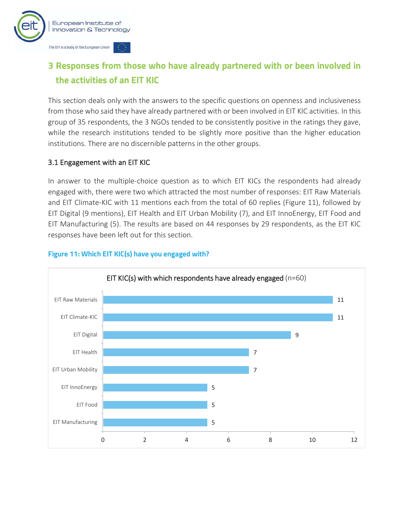![](_page_16_Picture_0.jpeg)

# **3 Responses from those who have already partnered with or been involved in the activities of an EIT KIC**

This section deals only with the answers to the specific questions on openness and inclusiveness from those who said they have already partnered with or been involved in EIT KIC activities. In this group of 35 respondents, the 3 NGOs tended to be consistently positive in the ratings they gave, while the research institutions tended to be slightly more positive than the higher education institutions. There are no discernible patterns in the other groups.

#### 3.1 Engagement with an EIT KIC

In answer to the multiple-choice question as to which EIT KICs the respondents had already engaged with, there were two which attracted the most number of responses: EIT Raw Materials and EIT Climate-KIC with 11 mentions each from the total of 60 replies (Figure 11), followed by EIT Digital (9 mentions), EIT Health and EIT Urban Mobility (7), and EIT InnoEnergy, EIT Food and EIT Manufacturing (5). The results are based on 44 responses by 29 respondents, as the EIT KIC responses have been left out for this section.

![](_page_16_Figure_5.jpeg)

#### **Figure 11: Which EIT KIC(s) have you engaged with?**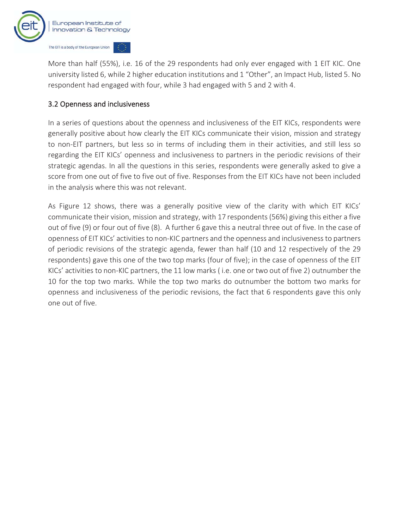![](_page_17_Picture_0.jpeg)

More than half (55%), i.e. 16 of the 29 respondents had only ever engaged with 1 EIT KIC. One university listed 6, while 2 higher education institutions and 1 "Other", an Impact Hub, listed 5. No respondent had engaged with four, while 3 had engaged with 5 and 2 with 4.

#### 3.2 Openness and inclusiveness

In a series of questions about the openness and inclusiveness of the EIT KICs, respondents were generally positive about how clearly the EIT KICs communicate their vision, mission and strategy to non-EIT partners, but less so in terms of including them in their activities, and still less so regarding the EIT KICs' openness and inclusiveness to partners in the periodic revisions of their strategic agendas. In all the questions in this series, respondents were generally asked to give a score from one out of five to five out of five. Responses from the EIT KICs have not been included in the analysis where this was not relevant.

As Figure 12 shows, there was a generally positive view of the clarity with which EIT KICs' communicate their vision, mission and strategy, with 17 respondents (56%) giving this either a five out of five (9) or four out of five (8). A further 6 gave this a neutral three out of five. In the case of openness of EIT KICs' activities to non-KIC partners and the openness and inclusiveness to partners of periodic revisions of the strategic agenda, fewer than half (10 and 12 respectively of the 29 respondents) gave this one of the two top marks (four of five); in the case of openness of the EIT KICs' activities to non-KIC partners, the 11 low marks ( i.e. one or two out of five 2) outnumber the 10 for the top two marks. While the top two marks do outnumber the bottom two marks for openness and inclusiveness of the periodic revisions, the fact that 6 respondents gave this only one out of five.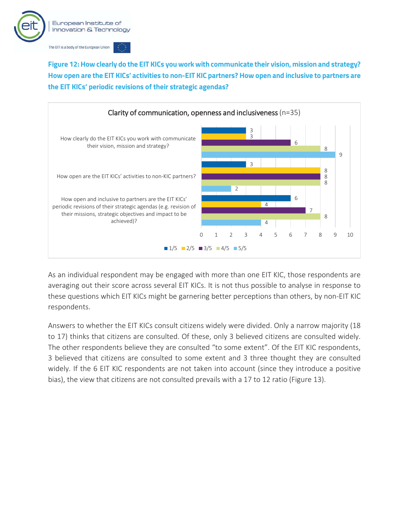![](_page_18_Picture_0.jpeg)

**Figure 12: How clearly do the EIT KICs you work with communicate their vision, mission and strategy? How open are the EIT KICs' activities to non-EIT KIC partners? How open and inclusive to partners are the EIT KICs' periodic revisions of their strategic agendas?** 

![](_page_18_Figure_2.jpeg)

As an individual respondent may be engaged with more than one EIT KIC, those respondents are averaging out their score across several EIT KICs. It is not thus possible to analyse in response to these questions which EIT KICs might be garnering better perceptions than others, by non-EIT KIC respondents.

Answers to whether the EIT KICs consult citizens widely were divided. Only a narrow majority (18 to 17) thinks that citizens are consulted. Of these, only 3 believed citizens are consulted widely. The other respondents believe they are consulted "to some extent". Of the EIT KIC respondents, 3 believed that citizens are consulted to some extent and 3 three thought they are consulted widely. If the 6 EIT KIC respondents are not taken into account (since they introduce a positive bias), the view that citizens are not consulted prevails with a 17 to 12 ratio (Figure 13).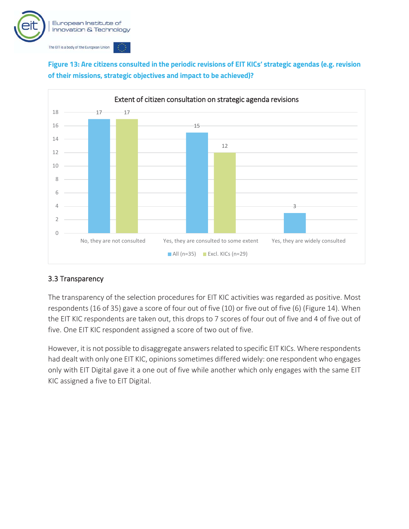![](_page_19_Picture_0.jpeg)

![](_page_19_Figure_1.jpeg)

**Figure 13: Are citizens consulted in the periodic revisions of EIT KICs' strategic agendas (e.g. revision of their missions, strategic objectives and impact to be achieved)?** 

#### 3.3 Transparency

The transparency of the selection procedures for EIT KIC activities was regarded as positive. Most respondents (16 of 35) gave a score of four out of five (10) or five out of five (6) (Figure 14). When the EIT KIC respondents are taken out, this drops to 7 scores of four out of five and 4 of five out of five. One EIT KIC respondent assigned a score of two out of five.

However, it is not possible to disaggregate answers related to specific EIT KICs. Where respondents had dealt with only one EIT KIC, opinions sometimes differed widely: one respondent who engages only with EIT Digital gave it a one out of five while another which only engages with the same EIT KIC assigned a five to EIT Digital.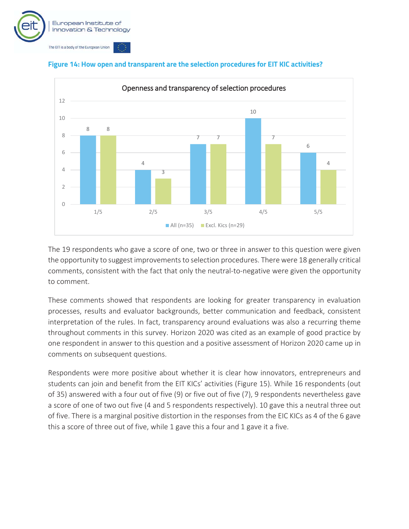![](_page_20_Picture_0.jpeg)

![](_page_20_Figure_1.jpeg)

#### **Figure 14: How open and transparent are the selection procedures for EIT KIC activities?**

The 19 respondents who gave a score of one, two or three in answer to this question were given the opportunity to suggest improvements to selection procedures. There were 18 generally critical comments, consistent with the fact that only the neutral-to-negative were given the opportunity to comment.

These comments showed that respondents are looking for greater transparency in evaluation processes, results and evaluator backgrounds, better communication and feedback, consistent interpretation of the rules. In fact, transparency around evaluations was also a recurring theme throughout comments in this survey. Horizon 2020 was cited as an example of good practice by one respondent in answer to this question and a positive assessment of Horizon 2020 came up in comments on subsequent questions.

Respondents were more positive about whether it is clear how innovators, entrepreneurs and students can join and benefit from the EIT KICs' activities (Figure 15). While 16 respondents (out of 35) answered with a four out of five (9) or five out of five (7), 9 respondents nevertheless gave a score of one of two out five (4 and 5 respondents respectively). 10 gave this a neutral three out of five. There is a marginal positive distortion in the responses from the EIC KICs as 4 of the 6 gave this a score of three out of five, while 1 gave this a four and 1 gave it a five.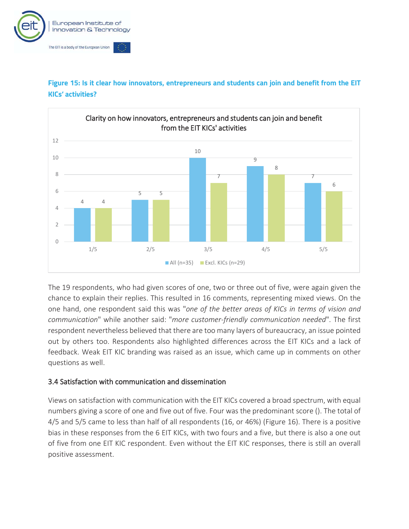![](_page_21_Picture_0.jpeg)

![](_page_21_Figure_1.jpeg)

![](_page_21_Figure_2.jpeg)

The 19 respondents, who had given scores of one, two or three out of five, were again given the chance to explain their replies. This resulted in 16 comments, representing mixed views. On the one hand, one respondent said this was "*one of the better areas of KICs in terms of vision and communication*" while another said: "*more customer-friendly communication needed*". The first respondent nevertheless believed that there are too many layers of bureaucracy, an issue pointed out by others too. Respondents also highlighted differences across the EIT KICs and a lack of feedback. Weak EIT KIC branding was raised as an issue, which came up in comments on other questions as well.

#### 3.4 Satisfaction with communication and dissemination

Views on satisfaction with communication with the EIT KICs covered a broad spectrum, with equal numbers giving a score of one and five out of five. Four was the predominant score (). The total of 4/5 and 5/5 came to less than half of all respondents (16, or 46%) (Figure 16). There is a positive bias in these responses from the 6 EIT KICs, with two fours and a five, but there is also a one out of five from one EIT KIC respondent. Even without the EIT KIC responses, there is still an overall positive assessment.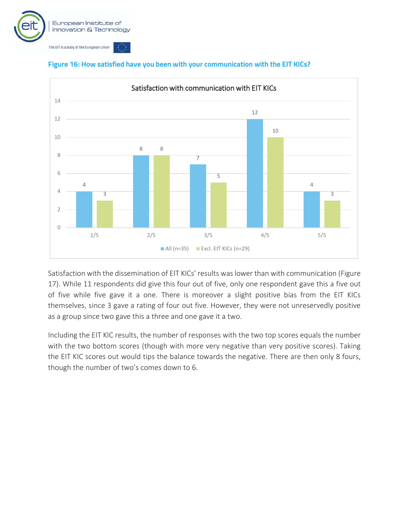![](_page_22_Picture_0.jpeg)

![](_page_22_Figure_1.jpeg)

#### **Figure 16: How satisfied have you been with your communication with the EIT KICs?**

Satisfaction with the dissemination of EIT KICs' results was lower than with communication (Figure 17). While 11 respondents did give this four out of five, only one respondent gave this a five out of five while five gave it a one. There is moreover a slight positive bias from the EIT KICs themselves, since 3 gave a rating of four out five. However, they were not unreservedly positive as a group since two gave this a three and one gave it a two.

Including the EIT KIC results, the number of responses with the two top scores equals the number with the two bottom scores (though with more very negative than very positive scores). Taking the EIT KIC scores out would tips the balance towards the negative. There are then only 8 fours, though the number of two's comes down to 6.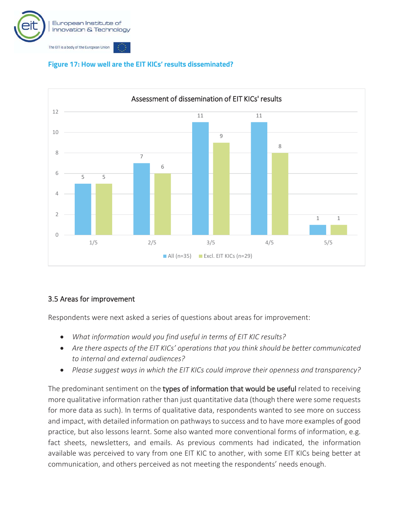![](_page_23_Picture_0.jpeg)

![](_page_23_Figure_1.jpeg)

#### **Figure 17: How well are the EIT KICs' results disseminated?**

#### 3.5 Areas for improvement

Respondents were next asked a series of questions about areas for improvement:

- x *What information would you find useful in terms of EIT KIC results?*
- Are there aspects of the EIT KICs' operations that you think should be better communicated *to internal and external audiences?*
- x *Please suggest ways in which the EIT KICs could improve their openness and transparency?*

The predominant sentiment on the types of information that would be useful related to receiving more qualitative information rather than just quantitative data (though there were some requests for more data as such). In terms of qualitative data, respondents wanted to see more on success and impact, with detailed information on pathways to success and to have more examples of good practice, but also lessons learnt. Some also wanted more conventional forms of information, e.g. fact sheets, newsletters, and emails. As previous comments had indicated, the information available was perceived to vary from one EIT KIC to another, with some EIT KICs being better at communication, and others perceived as not meeting the respondents' needs enough.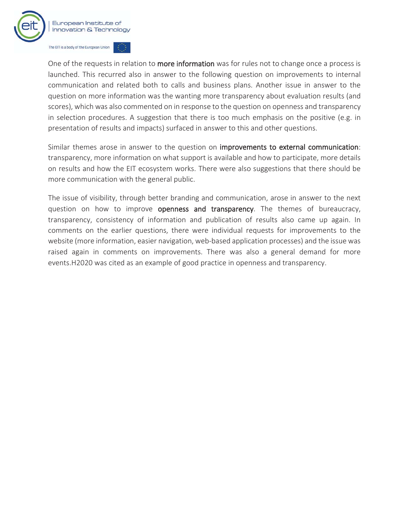![](_page_24_Picture_0.jpeg)

One of the requests in relation to more information was for rules not to change once a process is launched. This recurred also in answer to the following question on improvements to internal communication and related both to calls and business plans. Another issue in answer to the question on more information was the wanting more transparency about evaluation results (and scores), which was also commented on in response to the question on openness and transparency in selection procedures. A suggestion that there is too much emphasis on the positive (e.g. in presentation of results and impacts) surfaced in answer to this and other questions.

Similar themes arose in answer to the question on improvements to external communication: transparency, more information on what support is available and how to participate, more details on results and how the EIT ecosystem works. There were also suggestions that there should be more communication with the general public.

The issue of visibility, through better branding and communication, arose in answer to the next question on how to improve openness and transparency. The themes of bureaucracy, transparency, consistency of information and publication of results also came up again. In comments on the earlier questions, there were individual requests for improvements to the website (more information, easier navigation, web-based application processes) and the issue was raised again in comments on improvements. There was also a general demand for more events.H2020 was cited as an example of good practice in openness and transparency.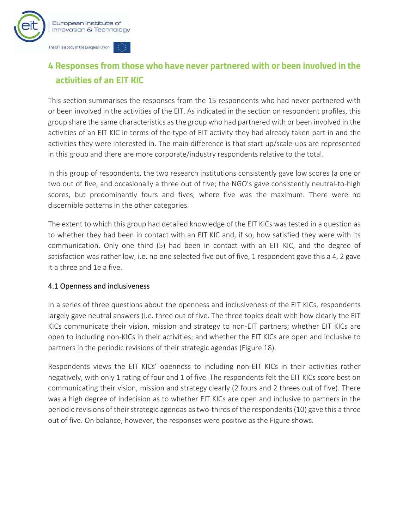![](_page_25_Picture_0.jpeg)

# **4 Responses from those who have never partnered with or been involved in the activities of an EIT KIC**

This section summarises the responses from the 15 respondents who had never partnered with or been involved in the activities of the EIT. As indicated in the section on respondent profiles, this group share the same characteristics as the group who had partnered with or been involved in the activities of an EIT KIC in terms of the type of EIT activity they had already taken part in and the activities they were interested in. The main difference is that start-up/scale-ups are represented in this group and there are more corporate/industry respondents relative to the total.

In this group of respondents, the two research institutions consistently gave low scores (a one or two out of five, and occasionally a three out of five; the NGO's gave consistently neutral-to-high scores, but predominantly fours and fives, where five was the maximum. There were no discernible patterns in the other categories.

The extent to which this group had detailed knowledge of the EIT KICs was tested in a question as to whether they had been in contact with an EIT KIC and, if so, how satisfied they were with its communication. Only one third (5) had been in contact with an EIT KIC, and the degree of satisfaction was rather low, i.e. no one selected five out of five, 1 respondent gave this a 4, 2 gave it a three and 1e a five.

#### 4.1 Openness and inclusiveness

In a series of three questions about the openness and inclusiveness of the EIT KICs, respondents largely gave neutral answers (i.e. three out of five. The three topics dealt with how clearly the EIT KICs communicate their vision, mission and strategy to non-EIT partners; whether EIT KICs are open to including non-KICs in their activities; and whether the EIT KICs are open and inclusive to partners in the periodic revisions of their strategic agendas (Figure 18).

Respondents views the EIT KICs' openness to including non-EIT KICs in their activities rather negatively, with only 1 rating of four and 1 of five. The respondents felt the EIT KICs score best on communicating their vision, mission and strategy clearly (2 fours and 2 threes out of five). There was a high degree of indecision as to whether EIT KICs are open and inclusive to partners in the periodic revisions of their strategic agendas as two-thirds of the respondents (10) gave this a three out of five. On balance, however, the responses were positive as the Figure shows.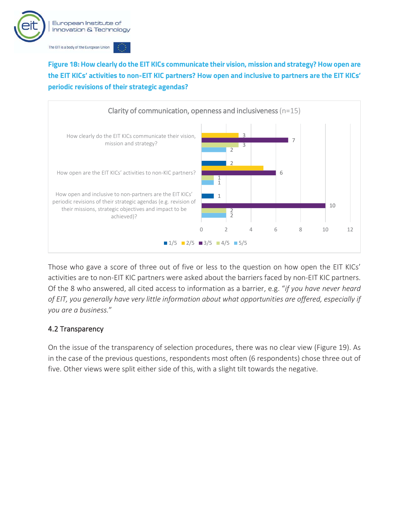![](_page_26_Picture_0.jpeg)

**Figure 18: How clearly do the EIT KICs communicate their vision, mission and strategy? How open are the EIT KICs' activities to non-EIT KIC partners? How open and inclusive to partners are the EIT KICs' periodic revisions of their strategic agendas?** 

![](_page_26_Figure_2.jpeg)

Those who gave a score of three out of five or less to the question on how open the EIT KICs' activities are to non-EIT KIC partners were asked about the barriers faced by non-EIT KIC partners. Of the 8 who answered, all cited access to information as a barrier, e.g. "*if you have never heard of EIT, you generally have very little information about what opportunities are offered, especially if you are a business.*"

#### 4.2 Transparency

On the issue of the transparency of selection procedures, there was no clear view (Figure 19). As in the case of the previous questions, respondents most often (6 respondents) chose three out of five. Other views were split either side of this, with a slight tilt towards the negative.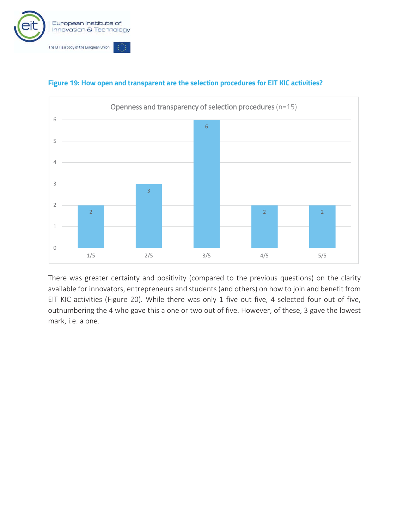![](_page_27_Picture_0.jpeg)

![](_page_27_Figure_1.jpeg)

#### **Figure 19: How open and transparent are the selection procedures for EIT KIC activities?**

There was greater certainty and positivity (compared to the previous questions) on the clarity available for innovators, entrepreneurs and students (and others) on how to join and benefit from EIT KIC activities (Figure 20). While there was only 1 five out five, 4 selected four out of five, outnumbering the 4 who gave this a one or two out of five. However, of these, 3 gave the lowest mark, i.e. a one.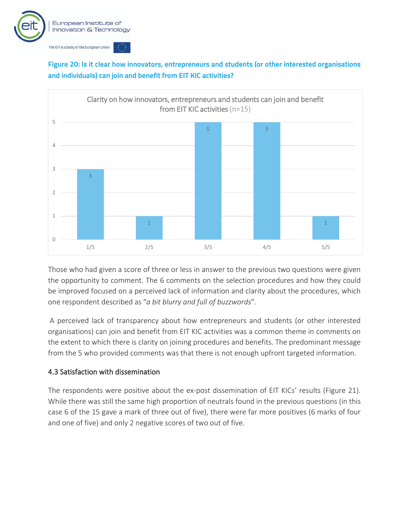![](_page_28_Picture_0.jpeg)

**Figure 20: Is it clear how innovators, entrepreneurs and students (or other interested organisations and individuals) can join and benefit from EIT KIC activities?** 

![](_page_28_Figure_2.jpeg)

Those who had given a score of three or less in answer to the previous two questions were given the opportunity to comment. The 6 comments on the selection procedures and how they could be improved focused on a perceived lack of information and clarity about the procedures, which one respondent described as "*a bit blurry and full of buzzwords*".

 A perceived lack of transparency about how entrepreneurs and students (or other interested organisations) can join and benefit from EIT KIC activities was a common theme in comments on the extent to which there is clarity on joining procedures and benefits. The predominant message from the 5 who provided comments was that there is not enough upfront targeted information.

#### 4.3 Satisfaction with dissemination

The respondents were positive about the ex-post dissemination of EIT KICs' results (Figure 21). While there was still the same high proportion of neutrals found in the previous questions (in this case 6 of the 15 gave a mark of three out of five), there were far more positives (6 marks of four and one of five) and only 2 negative scores of two out of five.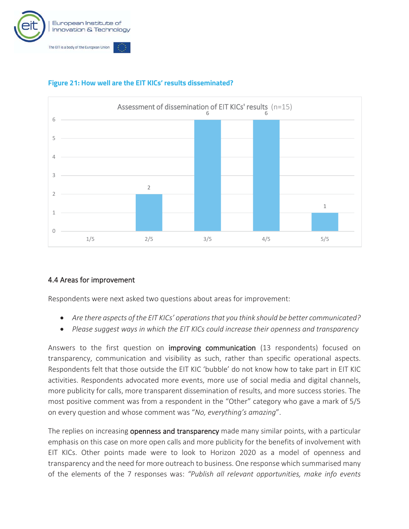![](_page_29_Picture_0.jpeg)

![](_page_29_Figure_1.jpeg)

#### **Figure 21: How well are the EIT KICs' results disseminated?**

#### 4.4 Areas for improvement

Respondents were next asked two questions about areas for improvement:

- x *Are there aspects of the EIT KICs' operations that you think should be better communicated?*
- x *Please suggest ways in which the EIT KICs could increase their openness and transparency*

Answers to the first question on improving communication (13 respondents) focused on transparency, communication and visibility as such, rather than specific operational aspects. Respondents felt that those outside the EIT KIC 'bubble' do not know how to take part in EIT KIC activities. Respondents advocated more events, more use of social media and digital channels, more publicity for calls, more transparent dissemination of results, and more success stories. The most positive comment was from a respondent in the "Other" category who gave a mark of 5/5 on every question and whose comment was "*No, everything's amazing*".

The replies on increasing openness and transparency made many similar points, with a particular emphasis on this case on more open calls and more publicity for the benefits of involvement with EIT KICs. Other points made were to look to Horizon 2020 as a model of openness and transparency and the need for more outreach to business. One response which summarised many of the elements of the 7 responses was: *"Publish all relevant opportunities, make info events*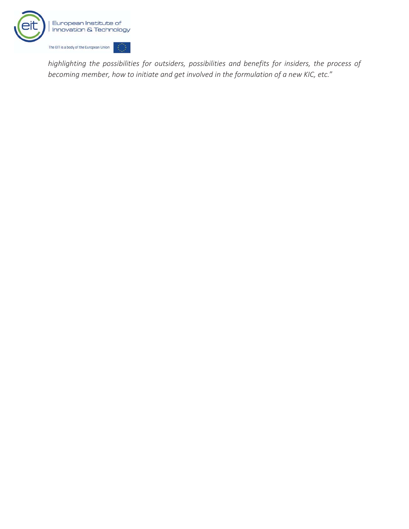![](_page_30_Picture_0.jpeg)

*highlighting the possibilities for outsiders, possibilities and benefits for insiders, the process of becoming member, how to initiate and get involved in the formulation of a new KIC, etc.*"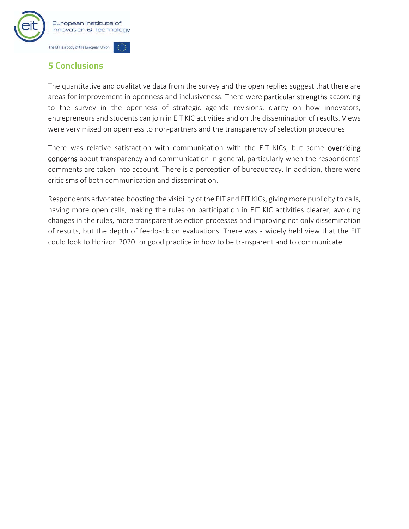![](_page_31_Picture_0.jpeg)

# **5 Conclusions**

The quantitative and qualitative data from the survey and the open replies suggest that there are areas for improvement in openness and inclusiveness. There were particular strengths according to the survey in the openness of strategic agenda revisions, clarity on how innovators, entrepreneurs and students can join in EIT KIC activities and on the dissemination of results. Views were very mixed on openness to non-partners and the transparency of selection procedures.

There was relative satisfaction with communication with the EIT KICs, but some overriding concerns about transparency and communication in general, particularly when the respondents' comments are taken into account. There is a perception of bureaucracy. In addition, there were criticisms of both communication and dissemination.

Respondents advocated boosting the visibility of the EIT and EIT KICs, giving more publicity to calls, having more open calls, making the rules on participation in EIT KIC activities clearer, avoiding changes in the rules, more transparent selection processes and improving not only dissemination of results, but the depth of feedback on evaluations. There was a widely held view that the EIT could look to Horizon 2020 for good practice in how to be transparent and to communicate.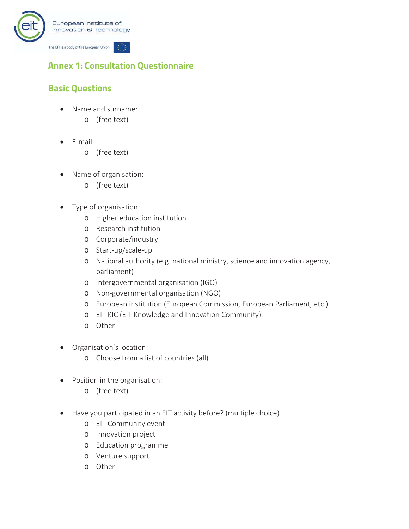![](_page_32_Picture_0.jpeg)

# **Annex 1: Consultation Questionnaire**

# **Basic Questions**

- Name and surname:
	- o (free text)
- $\bullet$  E-mail:
	- o (free text)
- Name of organisation:
	- o (free text)
- Type of organisation:
	- o Higher education institution
	- o Research institution
	- o Corporate/industry
	- o Start-up/scale-up
	- o National authority (e.g. national ministry, science and innovation agency, parliament)
	- o Intergovernmental organisation (IGO)
	- o Non-governmental organisation (NGO)
	- o European institution (European Commission, European Parliament, etc.)
	- o EIT KIC (EIT Knowledge and Innovation Community)
	- o Other
- Organisation's location:
	- o Choose from a list of countries (all)
- Position in the organisation:
	- o (free text)
- Have you participated in an EIT activity before? (multiple choice)
	- o EIT Community event
	- o Innovation project
	- o Education programme
	- o Venture support
	- o Other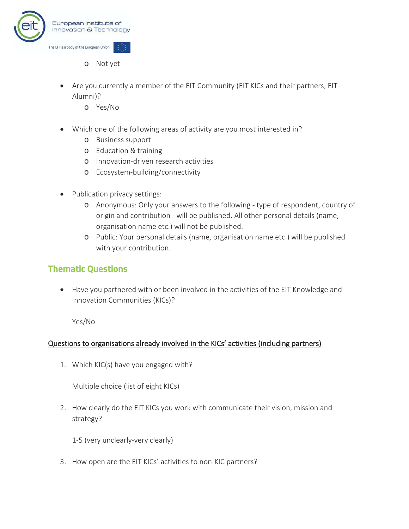![](_page_33_Picture_0.jpeg)

- o Not yet
- Are you currently a member of the EIT Community (EIT KICs and their partners, EIT Alumni)?
	- o Yes/No
- Which one of the following areas of activity are you most interested in?
	- o Business support
	- o Education & training
	- o Innovation-driven research activities
	- o Ecosystem-building/connectivity
- Publication privacy settings:
	- o Anonymous: Only your answers to the following type of respondent, country of origin and contribution - will be published. All other personal details (name, organisation name etc.) will not be published.
	- o Public: Your personal details (name, organisation name etc.) will be published with your contribution.

#### **Thematic Questions**

• Have you partnered with or been involved in the activities of the EIT Knowledge and Innovation Communities (KICs)?

Yes/No

#### Questions to organisations already involved in the KICs' activities (including partners)

1. Which KIC(s) have you engaged with?

Multiple choice (list of eight KICs)

2. How clearly do the EIT KICs you work with communicate their vision, mission and strategy?

1-5 (very unclearly-very clearly)

3. How open are the EIT KICs' activities to non-KIC partners?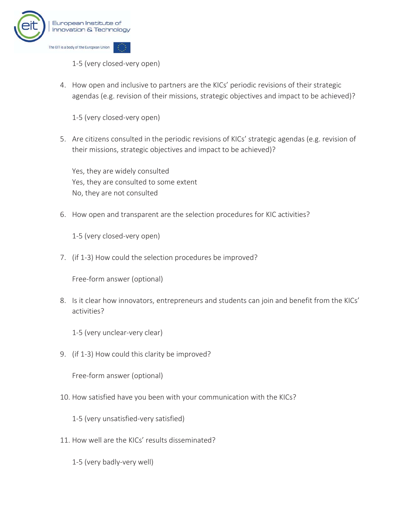![](_page_34_Picture_0.jpeg)

1-5 (very closed-very open)

4. How open and inclusive to partners are the KICs' periodic revisions of their strategic agendas (e.g. revision of their missions, strategic objectives and impact to be achieved)?

1-5 (very closed-very open)

5. Are citizens consulted in the periodic revisions of KICs' strategic agendas (e.g. revision of their missions, strategic objectives and impact to be achieved)?

Yes, they are widely consulted Yes, they are consulted to some extent No, they are not consulted

6. How open and transparent are the selection procedures for KIC activities?

1-5 (very closed-very open)

7. (if 1-3) How could the selection procedures be improved?

Free-form answer (optional)

8. Is it clear how innovators, entrepreneurs and students can join and benefit from the KICs' activities?

1-5 (very unclear-very clear)

9. (if 1-3) How could this clarity be improved?

Free-form answer (optional)

10. How satisfied have you been with your communication with the KICs?

1-5 (very unsatisfied-very satisfied)

11. How well are the KICs' results disseminated?

1-5 (very badly-very well)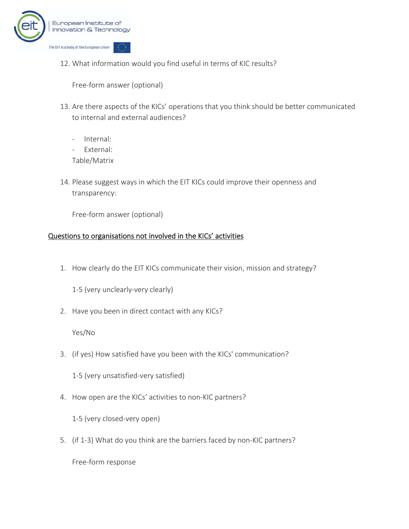![](_page_35_Picture_0.jpeg)

12. What information would you find useful in terms of KIC results?

Free-form answer (optional)

- 13. Are there aspects of the KICs' operations that you think should be better communicated to internal and external audiences?
	- Internal:
	- External:
	- Table/Matrix
- 14. Please suggest ways in which the EIT KICs could improve their openness and transparency:

Free-form answer (optional)

#### Questions to organisations not involved in the KICs' activities

1. How clearly do the EIT KICs communicate their vision, mission and strategy?

1-5 (very unclearly-very clearly)

2. Have you been in direct contact with any KICs?

Yes/No

3. (if yes) How satisfied have you been with the KICs' communication?

1-5 (very unsatisfied-very satisfied)

4. How open are the KICs' activities to non-KIC partners?

1-5 (very closed-very open)

5. (if 1-3) What do you think are the barriers faced by non-KIC partners?

Free-form response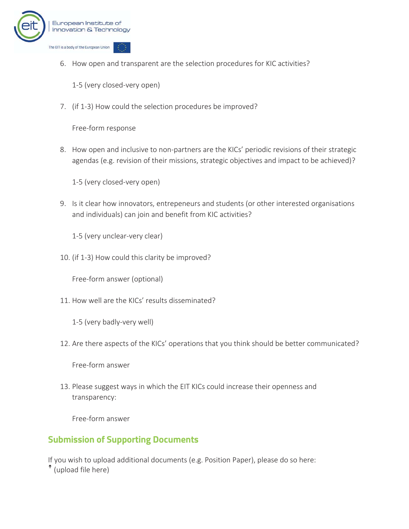![](_page_36_Picture_0.jpeg)

6. How open and transparent are the selection procedures for KIC activities?

1-5 (very closed-very open)

7. (if 1-3) How could the selection procedures be improved?

Free-form response

8. How open and inclusive to non-partners are the KICs' periodic revisions of their strategic agendas (e.g. revision of their missions, strategic objectives and impact to be achieved)?

1-5 (very closed-very open)

9. Is it clear how innovators, entrepeneurs and students (or other interested organisations and individuals) can join and benefit from KIC activities?

1-5 (very unclear-very clear)

10. (if 1-3) How could this clarity be improved?

Free-form answer (optional)

11. How well are the KICs' results disseminated?

1-5 (very badly-very well)

12. Are there aspects of the KICs' operations that you think should be better communicated?

Free-form answer

13. Please suggest ways in which the EIT KICs could increase their openness and transparency:

Free-form answer

# **Submission of Supporting Documents**

If you wish to upload additional documents (e.g. Position Paper), please do so here: (upload file here)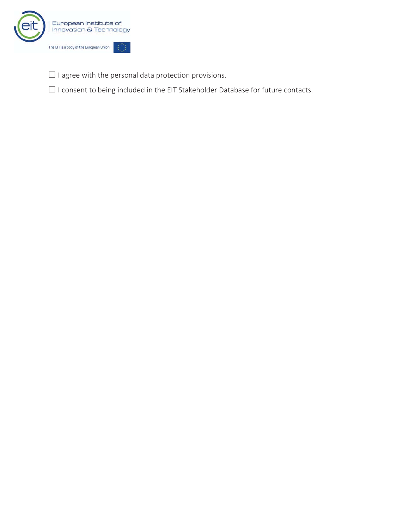![](_page_37_Picture_0.jpeg)

 $\square$  I agree with the personal data protection provisions.

 $\square$  I consent to being included in the EIT Stakeholder Database for future contacts.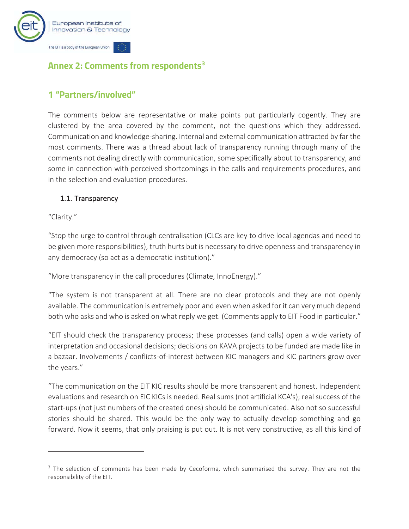![](_page_38_Picture_0.jpeg)

# **Annex 2: Comments from respondents3**

### **1 "Partners/involved"**

The comments below are representative or make points put particularly cogently. They are clustered by the area covered by the comment, not the questions which they addressed. Communication and knowledge-sharing. Internal and external communication attracted by far the most comments. There was a thread about lack of transparency running through many of the comments not dealing directly with communication, some specifically about to transparency, and some in connection with perceived shortcomings in the calls and requirements procedures, and in the selection and evaluation procedures.

#### 1.1. Transparency

"Clarity."

"Stop the urge to control through centralisation (CLCs are key to drive local agendas and need to be given more responsibilities), truth hurts but is necessary to drive openness and transparency in any democracy (so act as a democratic institution)."

"More transparency in the call procedures (Climate, InnoEnergy)."

"The system is not transparent at all. There are no clear protocols and they are not openly available. The communication is extremely poor and even when asked for it can very much depend both who asks and who is asked on what reply we get. (Comments apply to EIT Food in particular."

"EIT should check the transparency process; these processes (and calls) open a wide variety of interpretation and occasional decisions; decisions on KAVA projects to be funded are made like in a bazaar. Involvements / conflicts-of-interest between KIC managers and KIC partners grow over the years."

"The communication on the EIT KIC results should be more transparent and honest. Independent evaluations and research on EIC KICs is needed. Real sums (not artificial KCA's); real success of the start-ups (not just numbers of the created ones) should be communicated. Also not so successful stories should be shared. This would be the only way to actually develop something and go forward. Now it seems, that only praising is put out. It is not very constructive, as all this kind of

<sup>&</sup>lt;sup>3</sup> The selection of comments has been made by Cecoforma, which summarised the survey. They are not the responsibility of the EIT.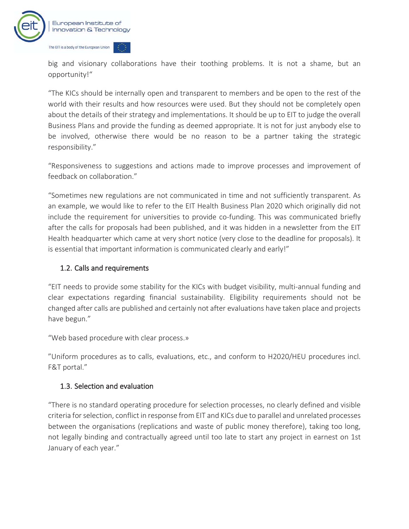![](_page_39_Picture_0.jpeg)

big and visionary collaborations have their toothing problems. It is not a shame, but an opportunity!"

"The KICs should be internally open and transparent to members and be open to the rest of the world with their results and how resources were used. But they should not be completely open about the details of their strategy and implementations. It should be up to EIT to judge the overall Business Plans and provide the funding as deemed appropriate. It is not for just anybody else to be involved, otherwise there would be no reason to be a partner taking the strategic responsibility."

"Responsiveness to suggestions and actions made to improve processes and improvement of feedback on collaboration."

"Sometimes new regulations are not communicated in time and not sufficiently transparent. As an example, we would like to refer to the EIT Health Business Plan 2020 which originally did not include the requirement for universities to provide co-funding. This was communicated briefly after the calls for proposals had been published, and it was hidden in a newsletter from the EIT Health headquarter which came at very short notice (very close to the deadline for proposals). It is essential that important information is communicated clearly and early!"

#### 1.2. Calls and requirements

"EIT needs to provide some stability for the KICs with budget visibility, multi-annual funding and clear expectations regarding financial sustainability. Eligibility requirements should not be changed after calls are published and certainly not after evaluations have taken place and projects have begun."

"Web based procedure with clear process.»

"Uniform procedures as to calls, evaluations, etc., and conform to H2020/HEU procedures incl. F&T portal."

#### 1.3. Selection and evaluation

"There is no standard operating procedure for selection processes, no clearly defined and visible criteria for selection, conflict in response from EIT and KICs due to parallel and unrelated processes between the organisations (replications and waste of public money therefore), taking too long, not legally binding and contractually agreed until too late to start any project in earnest on 1st January of each year."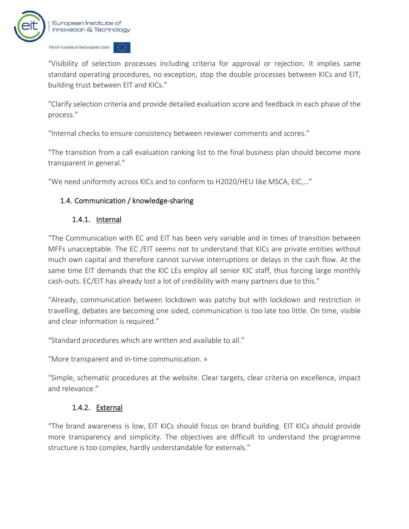![](_page_40_Picture_0.jpeg)

"Visibility of selection processes including criteria for approval or rejection. It implies same standard operating procedures, no exception, stop the double processes between KICs and EIT, building trust between EIT and KICs."

"Clarify selection criteria and provide detailed evaluation score and feedback in each phase of the process."

"Internal checks to ensure consistency between reviewer comments and scores."

"The transition from a call evaluation ranking list to the final business plan should become more transparent in general."

"We need uniformity across KICs and to conform to H2020/HEU like MSCA, EIC,…"

#### 1.4. Communication / knowledge-sharing

#### 1.4.1. Internal

"The Communication with EC and EIT has been very variable and in times of transition between MFFs unacceptable. The EC /EIT seems not to understand that KICs are private entities without much own capital and therefore cannot survive interruptions or delays in the cash flow. At the same time EIT demands that the KIC LEs employ all senior KIC staff, thus forcing large monthly cash-outs. EC/EIT has already lost a lot of credibility with many partners due to this."

"Already, communication between lockdown was patchy but with lockdown and restriction in travelling, debates are becoming one sided, communication is too late too little. On time, visible and clear information is required."

"Standard procedures which are written and available to all."

"More transparent and in-time communication. »

"Simple, schematic procedures at the website. Clear targets, clear criteria on excellence, impact and relevance."

#### 1.4.2. External

"The brand awareness is low, EIT KICs should focus on brand building. EIT KICs should provide more transparency and simplicity. The objectives are difficult to understand the programme structure is too complex, hardly understandable for externals."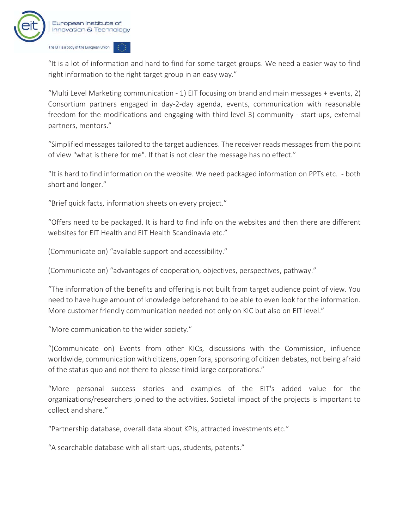![](_page_41_Picture_0.jpeg)

"It is a lot of information and hard to find for some target groups. We need a easier way to find right information to the right target group in an easy way."

"Multi Level Marketing communication - 1) EIT focusing on brand and main messages + events, 2) Consortium partners engaged in day-2-day agenda, events, communication with reasonable freedom for the modifications and engaging with third level 3) community - start-ups, external partners, mentors."

"Simplified messages tailored to the target audiences. The receiver reads messages from the point of view "what is there for me". If that is not clear the message has no effect."

"It is hard to find information on the website. We need packaged information on PPTs etc. - both short and longer."

"Brief quick facts, information sheets on every project."

"Offers need to be packaged. It is hard to find info on the websites and then there are different websites for EIT Health and EIT Health Scandinavia etc."

(Communicate on) "available support and accessibility."

(Communicate on) "advantages of cooperation, objectives, perspectives, pathway."

"The information of the benefits and offering is not built from target audience point of view. You need to have huge amount of knowledge beforehand to be able to even look for the information. More customer friendly communication needed not only on KIC but also on EIT level."

"More communication to the wider society."

"(Communicate on) Events from other KICs, discussions with the Commission, influence worldwide, communication with citizens, open fora, sponsoring of citizen debates, not being afraid of the status quo and not there to please timid large corporations."

"More personal success stories and examples of the EIT's added value for the organizations/researchers joined to the activities. Societal impact of the projects is important to collect and share."

"Partnership database, overall data about KPIs, attracted investments etc."

"A searchable database with all start-ups, students, patents."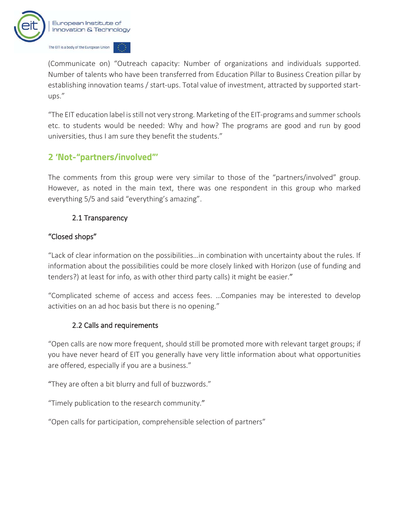![](_page_42_Picture_0.jpeg)

(Communicate on) "Outreach capacity: Number of organizations and individuals supported. Number of talents who have been transferred from Education Pillar to Business Creation pillar by establishing innovation teams / start-ups. Total value of investment, attracted by supported startups."

"The EIT education label is still not very strong. Marketing of the EIT-programs and summer schools etc. to students would be needed: Why and how? The programs are good and run by good universities, thus I am sure they benefit the students."

# **2 'Not-"partners/involved"'**

The comments from this group were very similar to those of the "partners/involved" group. However, as noted in the main text, there was one respondent in this group who marked everything 5/5 and said "everything's amazing".

#### 2.1 Transparency

#### "Closed shops"

"Lack of clear information on the possibilities…in combination with uncertainty about the rules. If information about the possibilities could be more closely linked with Horizon (use of funding and tenders?) at least for info, as with other third party calls) it might be easier."

"Complicated scheme of access and access fees. …Companies may be interested to develop activities on an ad hoc basis but there is no opening."

#### 2.2 Calls and requirements

"Open calls are now more frequent, should still be promoted more with relevant target groups; if you have never heard of EIT you generally have very little information about what opportunities are offered, especially if you are a business."

"They are often a bit blurry and full of buzzwords."

"Timely publication to the research community."

"Open calls for participation, comprehensible selection of partners"